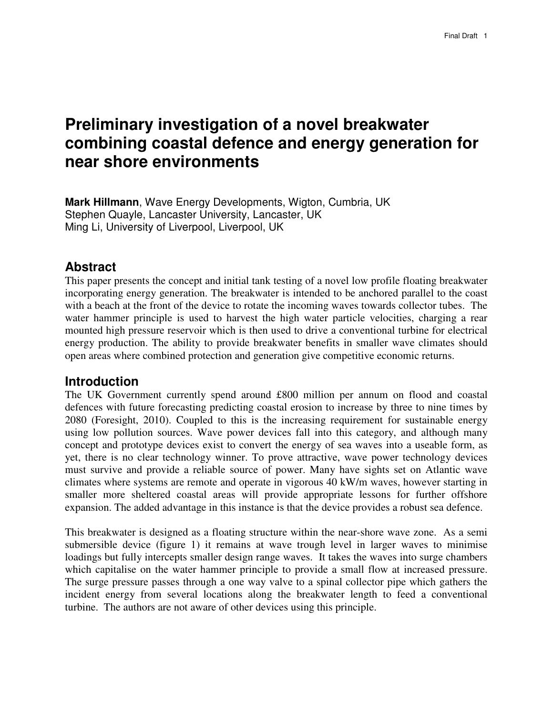# **Preliminary investigation of a novel breakwater combining coastal defence and energy generation for near shore environments**

**Mark Hillmann**, Wave Energy Developments, Wigton, Cumbria, UK Stephen Quayle, Lancaster University, Lancaster, UK Ming Li, University of Liverpool, Liverpool, UK

# **Abstract**

This paper presents the concept and initial tank testing of a novel low profile floating breakwater incorporating energy generation. The breakwater is intended to be anchored parallel to the coast with a beach at the front of the device to rotate the incoming waves towards collector tubes. The water hammer principle is used to harvest the high water particle velocities, charging a rear mounted high pressure reservoir which is then used to drive a conventional turbine for electrical energy production. The ability to provide breakwater benefits in smaller wave climates should open areas where combined protection and generation give competitive economic returns.

# **Introduction**

The UK Government currently spend around £800 million per annum on flood and coastal defences with future forecasting predicting coastal erosion to increase by three to nine times by 2080 (Foresight, 2010). Coupled to this is the increasing requirement for sustainable energy using low pollution sources. Wave power devices fall into this category, and although many concept and prototype devices exist to convert the energy of sea waves into a useable form, as yet, there is no clear technology winner. To prove attractive, wave power technology devices must survive and provide a reliable source of power. Many have sights set on Atlantic wave climates where systems are remote and operate in vigorous 40 kW/m waves, however starting in smaller more sheltered coastal areas will provide appropriate lessons for further offshore expansion. The added advantage in this instance is that the device provides a robust sea defence.

This breakwater is designed as a floating structure within the near-shore wave zone. As a semi submersible device (figure 1) it remains at wave trough level in larger waves to minimise loadings but fully intercepts smaller design range waves. It takes the waves into surge chambers which capitalise on the water hammer principle to provide a small flow at increased pressure. The surge pressure passes through a one way valve to a spinal collector pipe which gathers the incident energy from several locations along the breakwater length to feed a conventional turbine. The authors are not aware of other devices using this principle.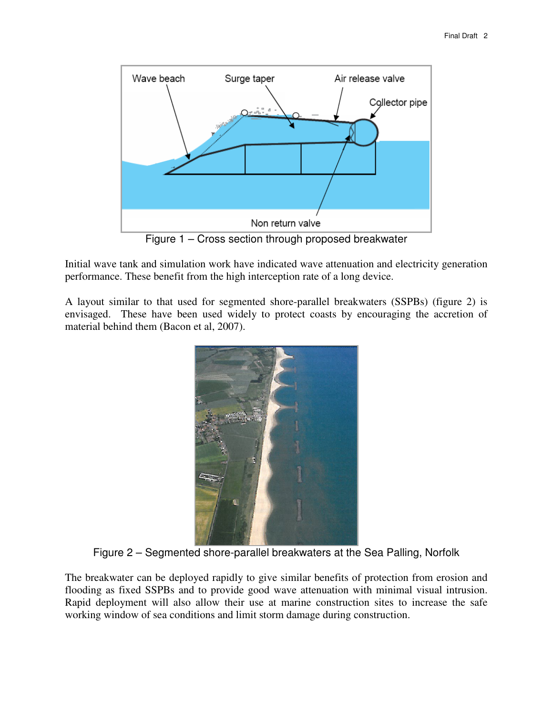

Figure 1 – Cross section through proposed breakwater

Initial wave tank and simulation work have indicated wave attenuation and electricity generation performance. These benefit from the high interception rate of a long device.

A layout similar to that used for segmented shore-parallel breakwaters (SSPBs) (figure 2) is envisaged. These have been used widely to protect coasts by encouraging the accretion of material behind them (Bacon et al, 2007).



Figure 2 – Segmented shore-parallel breakwaters at the Sea Palling, Norfolk

The breakwater can be deployed rapidly to give similar benefits of protection from erosion and flooding as fixed SSPBs and to provide good wave attenuation with minimal visual intrusion. Rapid deployment will also allow their use at marine construction sites to increase the safe working window of sea conditions and limit storm damage during construction.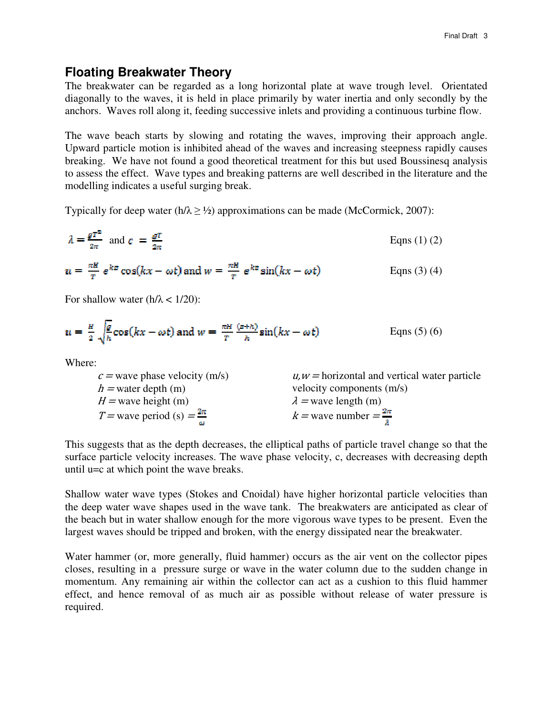## **Floating Breakwater Theory**

The breakwater can be regarded as a long horizontal plate at wave trough level. Orientated diagonally to the waves, it is held in place primarily by water inertia and only secondly by the anchors. Waves roll along it, feeding successive inlets and providing a continuous turbine flow.

The wave beach starts by slowing and rotating the waves, improving their approach angle. Upward particle motion is inhibited ahead of the waves and increasing steepness rapidly causes breaking. We have not found a good theoretical treatment for this but used Boussinesq analysis to assess the effect. Wave types and breaking patterns are well described in the literature and the modelling indicates a useful surging break.

Typically for deep water (h/ $\lambda \geq 1/2$ ) approximations can be made (McCormick, 2007):

$$
\lambda = \frac{g^{T^2}}{2\pi} \text{ and } c = \frac{g^{T}}{2\pi}
$$
 Eqs (1) (2)

$$
u = \frac{\pi H}{T} e^{kx} \cos(kx - \omega t) \text{ and } w = \frac{\pi H}{T} e^{kx} \sin(kx - \omega t)
$$
 \tEqns (3) (4)

For shallow water ( $h/\lambda < 1/20$ ):

$$
u = \frac{\pi}{2} \sqrt{\frac{g}{h}} \cos(kx - \omega t) \text{ and } w = \frac{\pi H}{T} \frac{(z+h)}{h} \sin(kx - \omega t)
$$
 \tEqns (5) (6)

Where:

| $c$ = wave phase velocity (m/s)        | $u, w =$ horizontal and vertical water particle |
|----------------------------------------|-------------------------------------------------|
| $h =$ water depth (m)                  | velocity components (m/s)                       |
| $H =$ wave height (m)                  | $\lambda$ = wave length (m)                     |
| T = wave period (s) = $\frac{2\pi}{1}$ | $k =$ wave number $=$ $\frac{2\pi}{1}$          |
|                                        |                                                 |

This suggests that as the depth decreases, the elliptical paths of particle travel change so that the surface particle velocity increases. The wave phase velocity, c, decreases with decreasing depth until u=c at which point the wave breaks.

Shallow water wave types (Stokes and Cnoidal) have higher horizontal particle velocities than the deep water wave shapes used in the wave tank. The breakwaters are anticipated as clear of the beach but in water shallow enough for the more vigorous wave types to be present. Even the largest waves should be tripped and broken, with the energy dissipated near the breakwater.

Water hammer (or, more generally, fluid hammer) occurs as the air vent on the collector pipes closes, resulting in a pressure surge or wave in the water column due to the sudden change in momentum. Any remaining air within the collector can act as a cushion to this fluid hammer effect, and hence removal of as much air as possible without release of water pressure is required.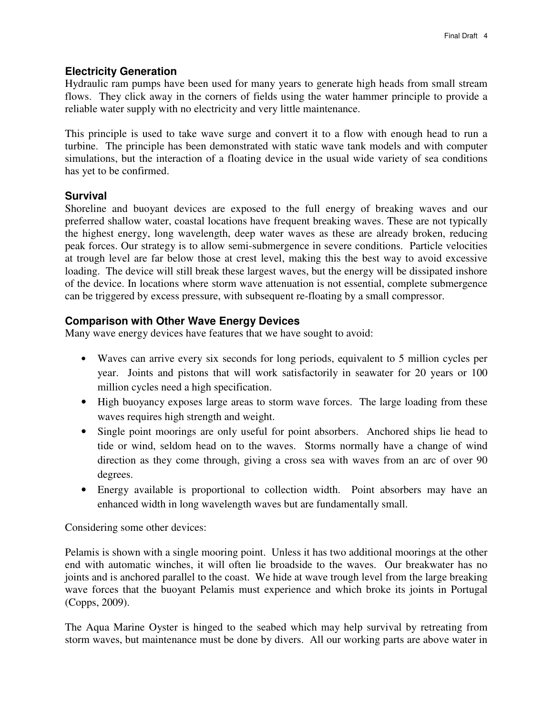#### **Electricity Generation**

Hydraulic ram pumps have been used for many years to generate high heads from small stream flows. They click away in the corners of fields using the water hammer principle to provide a reliable water supply with no electricity and very little maintenance.

This principle is used to take wave surge and convert it to a flow with enough head to run a turbine. The principle has been demonstrated with static wave tank models and with computer simulations, but the interaction of a floating device in the usual wide variety of sea conditions has yet to be confirmed.

#### **Survival**

Shoreline and buoyant devices are exposed to the full energy of breaking waves and our preferred shallow water, coastal locations have frequent breaking waves. These are not typically the highest energy, long wavelength, deep water waves as these are already broken, reducing peak forces. Our strategy is to allow semi-submergence in severe conditions. Particle velocities at trough level are far below those at crest level, making this the best way to avoid excessive loading. The device will still break these largest waves, but the energy will be dissipated inshore of the device. In locations where storm wave attenuation is not essential, complete submergence can be triggered by excess pressure, with subsequent re-floating by a small compressor.

### **Comparison with Other Wave Energy Devices**

Many wave energy devices have features that we have sought to avoid:

- Waves can arrive every six seconds for long periods, equivalent to 5 million cycles per year. Joints and pistons that will work satisfactorily in seawater for 20 years or 100 million cycles need a high specification.
- High buoyancy exposes large areas to storm wave forces. The large loading from these waves requires high strength and weight.
- Single point moorings are only useful for point absorbers. Anchored ships lie head to tide or wind, seldom head on to the waves. Storms normally have a change of wind direction as they come through, giving a cross sea with waves from an arc of over 90 degrees.
- Energy available is proportional to collection width. Point absorbers may have an enhanced width in long wavelength waves but are fundamentally small.

Considering some other devices:

Pelamis is shown with a single mooring point. Unless it has two additional moorings at the other end with automatic winches, it will often lie broadside to the waves. Our breakwater has no joints and is anchored parallel to the coast. We hide at wave trough level from the large breaking wave forces that the buoyant Pelamis must experience and which broke its joints in Portugal (Copps, 2009).

The Aqua Marine Oyster is hinged to the seabed which may help survival by retreating from storm waves, but maintenance must be done by divers. All our working parts are above water in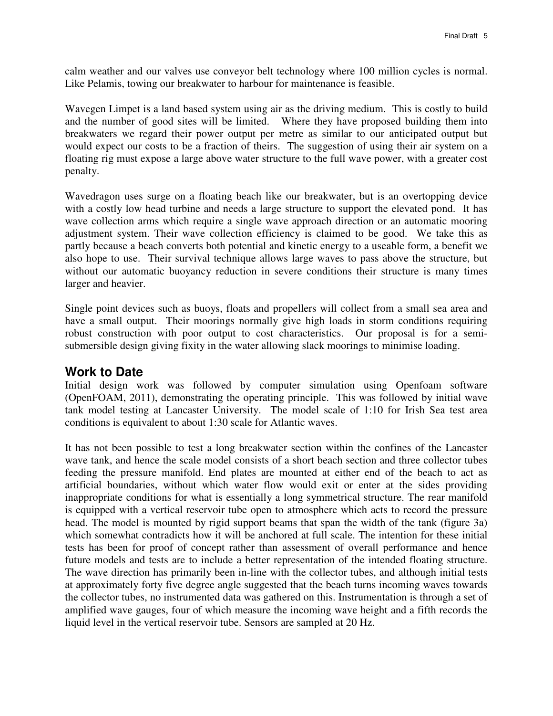calm weather and our valves use conveyor belt technology where 100 million cycles is normal. Like Pelamis, towing our breakwater to harbour for maintenance is feasible.

Wavegen Limpet is a land based system using air as the driving medium. This is costly to build and the number of good sites will be limited. Where they have proposed building them into breakwaters we regard their power output per metre as similar to our anticipated output but would expect our costs to be a fraction of theirs. The suggestion of using their air system on a floating rig must expose a large above water structure to the full wave power, with a greater cost penalty.

Wavedragon uses surge on a floating beach like our breakwater, but is an overtopping device with a costly low head turbine and needs a large structure to support the elevated pond. It has wave collection arms which require a single wave approach direction or an automatic mooring adjustment system. Their wave collection efficiency is claimed to be good. We take this as partly because a beach converts both potential and kinetic energy to a useable form, a benefit we also hope to use. Their survival technique allows large waves to pass above the structure, but without our automatic buoyancy reduction in severe conditions their structure is many times larger and heavier.

Single point devices such as buoys, floats and propellers will collect from a small sea area and have a small output. Their moorings normally give high loads in storm conditions requiring robust construction with poor output to cost characteristics. Our proposal is for a semisubmersible design giving fixity in the water allowing slack moorings to minimise loading.

## **Work to Date**

Initial design work was followed by computer simulation using Openfoam software (OpenFOAM, 2011), demonstrating the operating principle. This was followed by initial wave tank model testing at Lancaster University. The model scale of 1:10 for Irish Sea test area conditions is equivalent to about 1:30 scale for Atlantic waves.

It has not been possible to test a long breakwater section within the confines of the Lancaster wave tank, and hence the scale model consists of a short beach section and three collector tubes feeding the pressure manifold. End plates are mounted at either end of the beach to act as artificial boundaries, without which water flow would exit or enter at the sides providing inappropriate conditions for what is essentially a long symmetrical structure. The rear manifold is equipped with a vertical reservoir tube open to atmosphere which acts to record the pressure head. The model is mounted by rigid support beams that span the width of the tank (figure 3a) which somewhat contradicts how it will be anchored at full scale. The intention for these initial tests has been for proof of concept rather than assessment of overall performance and hence future models and tests are to include a better representation of the intended floating structure. The wave direction has primarily been in-line with the collector tubes, and although initial tests at approximately forty five degree angle suggested that the beach turns incoming waves towards the collector tubes, no instrumented data was gathered on this. Instrumentation is through a set of amplified wave gauges, four of which measure the incoming wave height and a fifth records the liquid level in the vertical reservoir tube. Sensors are sampled at 20 Hz.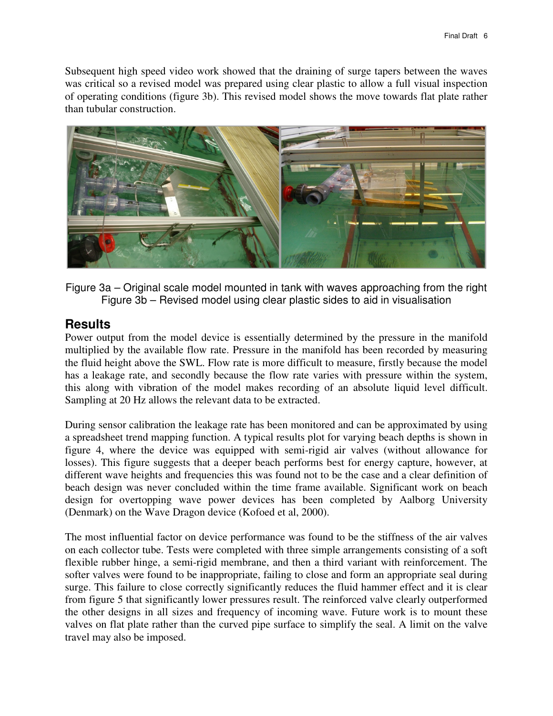Subsequent high speed video work showed that the draining of surge tapers between the waves was critical so a revised model was prepared using clear plastic to allow a full visual inspection of operating conditions (figure 3b). This revised model shows the move towards flat plate rather than tubular construction.



Figure 3a – Original scale model mounted in tank with waves approaching from the right Figure 3b – Revised model using clear plastic sides to aid in visualisation

# **Results**

Power output from the model device is essentially determined by the pressure in the manifold multiplied by the available flow rate. Pressure in the manifold has been recorded by measuring the fluid height above the SWL. Flow rate is more difficult to measure, firstly because the model has a leakage rate, and secondly because the flow rate varies with pressure within the system, this along with vibration of the model makes recording of an absolute liquid level difficult. Sampling at 20 Hz allows the relevant data to be extracted.

During sensor calibration the leakage rate has been monitored and can be approximated by using a spreadsheet trend mapping function. A typical results plot for varying beach depths is shown in figure 4, where the device was equipped with semi-rigid air valves (without allowance for losses). This figure suggests that a deeper beach performs best for energy capture, however, at different wave heights and frequencies this was found not to be the case and a clear definition of beach design was never concluded within the time frame available. Significant work on beach design for overtopping wave power devices has been completed by Aalborg University (Denmark) on the Wave Dragon device (Kofoed et al, 2000).

The most influential factor on device performance was found to be the stiffness of the air valves on each collector tube. Tests were completed with three simple arrangements consisting of a soft flexible rubber hinge, a semi-rigid membrane, and then a third variant with reinforcement. The softer valves were found to be inappropriate, failing to close and form an appropriate seal during surge. This failure to close correctly significantly reduces the fluid hammer effect and it is clear from figure 5 that significantly lower pressures result. The reinforced valve clearly outperformed the other designs in all sizes and frequency of incoming wave. Future work is to mount these valves on flat plate rather than the curved pipe surface to simplify the seal. A limit on the valve travel may also be imposed.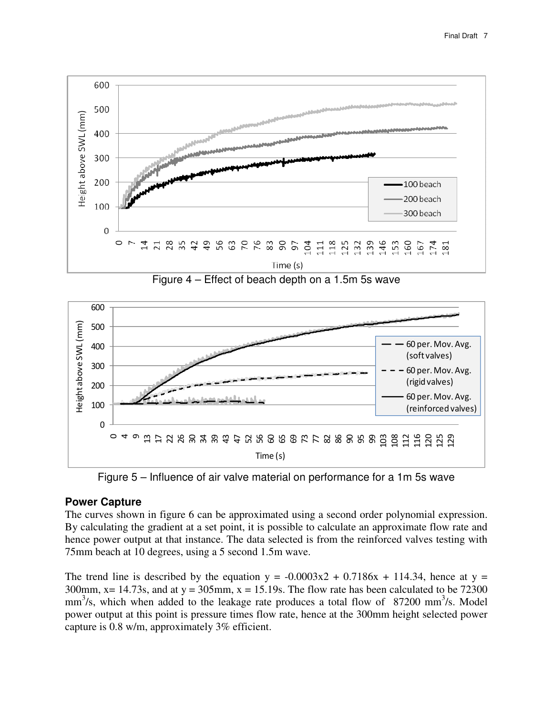

Figure 4 – Effect of beach depth on a 1.5m 5s wave



Figure 5 – Influence of air valve material on performance for a 1m 5s wave

#### **Power Capture**

The curves shown in figure 6 can be approximated using a second order polynomial expression. By calculating the gradient at a set point, it is possible to calculate an approximate flow rate and hence power output at that instance. The data selected is from the reinforced valves testing with 75mm beach at 10 degrees, using a 5 second 1.5m wave.

The trend line is described by the equation  $y = -0.0003x^2 + 0.7186x + 114.34$ , hence at y = 300mm,  $x = 14.73$ s, and at  $y = 305$ mm,  $x = 15.19$ s. The flow rate has been calculated to be 72300  $mm<sup>3</sup>/s$ , which when added to the leakage rate produces a total flow of 87200 mm<sup>3</sup>/s. Model power output at this point is pressure times flow rate, hence at the 300mm height selected power capture is 0.8 w/m, approximately 3% efficient.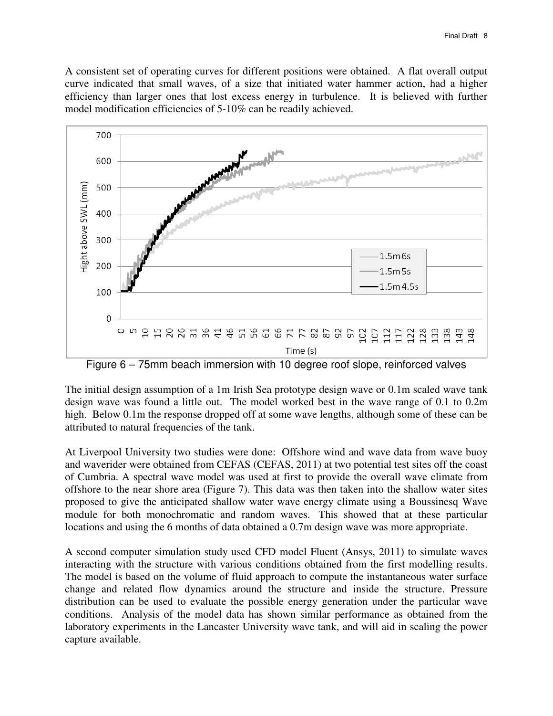A consistent set of operating curves for different positions were obtained. A flat overall output curve indicated that small waves, of a size that initiated water hammer action, had a higher efficiency than larger ones that lost excess energy in turbulence. It is believed with further model modification efficiencies of 5-10% can be readily achieved.



Figure 6 – 75mm beach immersion with 10 degree roof slope, reinforced valves

The initial design assumption of a 1m Irish Sea prototype design wave or 0.1m scaled wave tank design wave was found a little out. The model worked best in the wave range of 0.1 to 0.2m high. Below 0.1m the response dropped off at some wave lengths, although some of these can be attributed to natural frequencies of the tank.

At Liverpool University two studies were done: Offshore wind and wave data from wave buoy and waverider were obtained from CEFAS (CEFAS, 2011) at two potential test sites off the coast of Cumbria. A spectral wave model was used at first to provide the overall wave climate from offshore to the near shore area (Figure 7). This data was then taken into the shallow water sites proposed to give the anticipated shallow water wave energy climate using a Boussinesq Wave module for both monochromatic and random waves. This showed that at these particular locations and using the 6 months of data obtained a 0.7m design wave was more appropriate.

A second computer simulation study used CFD model Fluent (Ansys, 2011) to simulate waves interacting with the structure with various conditions obtained from the first modelling results. The model is based on the volume of fluid approach to compute the instantaneous water surface change and related flow dynamics around the structure and inside the structure. Pressure distribution can be used to evaluate the possible energy generation under the particular wave conditions. Analysis of the model data has shown similar performance as obtained from the laboratory experiments in the Lancaster University wave tank, and will aid in scaling the power capture available.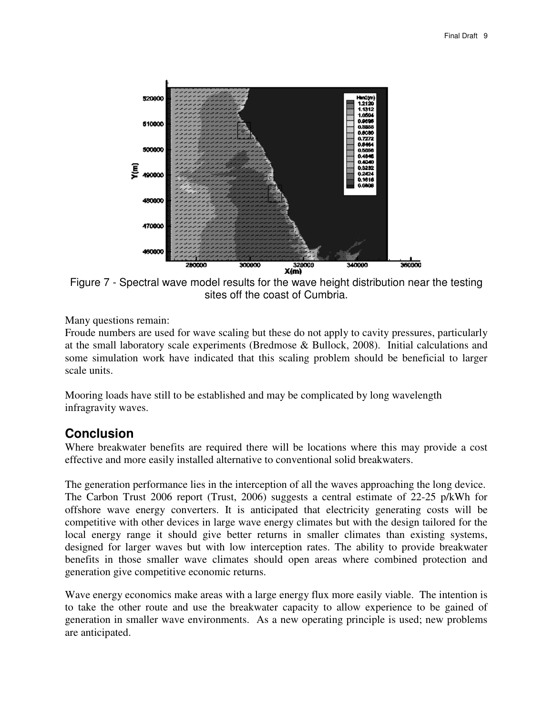

Figure 7 - Spectral wave model results for the wave height distribution near the testing sites off the coast of Cumbria.

Many questions remain:

Froude numbers are used for wave scaling but these do not apply to cavity pressures, particularly at the small laboratory scale experiments (Bredmose & Bullock, 2008). Initial calculations and some simulation work have indicated that this scaling problem should be beneficial to larger scale units.

Mooring loads have still to be established and may be complicated by long wavelength infragravity waves.

# **Conclusion**

Where breakwater benefits are required there will be locations where this may provide a cost effective and more easily installed alternative to conventional solid breakwaters.

The generation performance lies in the interception of all the waves approaching the long device. The Carbon Trust 2006 report (Trust, 2006) suggests a central estimate of 22-25 p/kWh for offshore wave energy converters. It is anticipated that electricity generating costs will be competitive with other devices in large wave energy climates but with the design tailored for the local energy range it should give better returns in smaller climates than existing systems, designed for larger waves but with low interception rates. The ability to provide breakwater benefits in those smaller wave climates should open areas where combined protection and generation give competitive economic returns.

Wave energy economics make areas with a large energy flux more easily viable. The intention is to take the other route and use the breakwater capacity to allow experience to be gained of generation in smaller wave environments. As a new operating principle is used; new problems are anticipated.